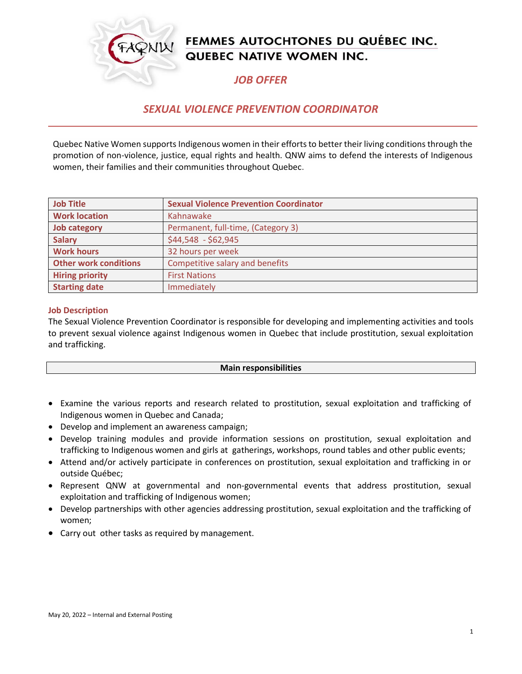

# FEMMES AUTOCHTONES DU QUÉBEC INC. QUEBEC NATIVE WOMEN INC.

## *JOB OFFER*

### *SEXUAL VIOLENCE PREVENTION COORDINATOR*

Quebec Native Women supports Indigenous women in their efforts to better their living conditions through the promotion of non-violence, justice, equal rights and health. QNW aims to defend the interests of Indigenous women, their families and their communities throughout Quebec.

| <b>Job Title</b>             | <b>Sexual Violence Prevention Coordinator</b> |
|------------------------------|-----------------------------------------------|
| <b>Work location</b>         | Kahnawake                                     |
| <b>Job category</b>          | Permanent, full-time, (Category 3)            |
| <b>Salary</b>                | \$44,548 - \$62,945                           |
| <b>Work hours</b>            | 32 hours per week                             |
| <b>Other work conditions</b> | Competitive salary and benefits               |
| <b>Hiring priority</b>       | <b>First Nations</b>                          |
| <b>Starting date</b>         | Immediately                                   |

#### **Job Description**

The Sexual Violence Prevention Coordinator is responsible for developing and implementing activities and tools to prevent sexual violence against Indigenous women in Quebec that include prostitution, sexual exploitation and trafficking.

#### **Main responsibilities**

- Examine the various reports and research related to prostitution, sexual exploitation and trafficking of Indigenous women in Quebec and Canada;
- Develop and implement an awareness campaign;
- Develop training modules and provide information sessions on prostitution, sexual exploitation and trafficking to Indigenous women and girls at gatherings, workshops, round tables and other public events;
- Attend and/or actively participate in conferences on prostitution, sexual exploitation and trafficking in or outside Québec;
- Represent QNW at governmental and non-governmental events that address prostitution, sexual exploitation and trafficking of Indigenous women;
- Develop partnerships with other agencies addressing prostitution, sexual exploitation and the trafficking of women;
- Carry out other tasks as required by management.